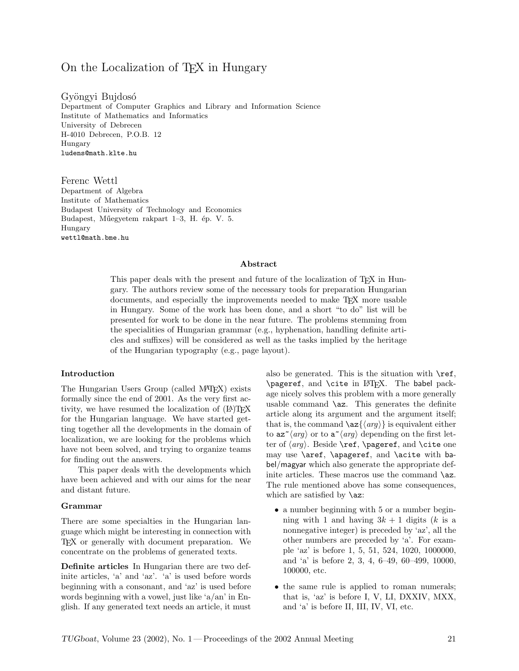# On the Localization of TEX in Hungary

Gyöngyi Bujdosó Department of Computer Graphics and Library and Information Science Institute of Mathematics and Informatics University of Debrecen H-4010 Debrecen, P.O.B. 12 Hungary ludens@math.klte.hu

Ferenc Wettl Department of Algebra Institute of Mathematics Budapest University of Technology and Economics Budapest, Műegyetem rakpart 1–3, H. ép. V. 5. Hungary wettl@math.bme.hu

### Abstract

This paper deals with the present and future of the localization of TEX in Hungary. The authors review some of the necessary tools for preparation Hungarian documents, and especially the improvements needed to make TEX more usable in Hungary. Some of the work has been done, and a short "to do" list will be presented for work to be done in the near future. The problems stemming from the specialities of Hungarian grammar (e.g., hyphenation, handling definite articles and suffixes) will be considered as well as the tasks implied by the heritage of the Hungarian typography (e.g., page layout).

# Introduction

The Hungarian Users Group (called MAT<sub>EX</sub>) exists formally since the end of 2001. As the very first activity, we have resumed the localization of  $(E)$ T<sub>F</sub>X for the Hungarian language. We have started getting together all the developments in the domain of localization, we are looking for the problems which have not been solved, and trying to organize teams for finding out the answers.

This paper deals with the developments which have been achieved and with our aims for the near and distant future.

#### Grammar

There are some specialties in the Hungarian language which might be interesting in connection with TEX or generally with document preparation. We concentrate on the problems of generated texts.

Definite articles In Hungarian there are two definite articles, 'a' and 'az'. 'a' is used before words beginning with a consonant, and 'az' is used before words beginning with a vowel, just like 'a/an' in English. If any generated text needs an article, it must also be generated. This is the situation with  $\ref$ , \pageref, and \cite in LATEX. The babel package nicely solves this problem with a more generally usable command  $\zeta$  az. This generates the definite article along its argument and the argument itself; that is, the command  $\langle \text{arg} \rangle$  is equivalent either to  $az^{\sim}$  (*arg*) or to  $a^{\sim}$  (*arg*) depending on the first letter of  $\langle arg \rangle$ . Beside \ref, \pageref, and \cite one may use \aref, \apageref, and \acite with babel/magyar which also generate the appropriate definite articles. These macros use the command  $\zeta$ . The rule mentioned above has some consequences, which are satisfied by **\az**:

- a number beginning with 5 or a number beginning with 1 and having  $3k + 1$  digits (k is a nonnegative integer) is preceded by 'az', all the other numbers are preceded by 'a'. For example 'az' is before 1, 5, 51, 524, 1020, 1000000, and 'a' is before 2, 3, 4, 6–49, 60–499, 10000, 100000, etc.
- the same rule is applied to roman numerals; that is, 'az' is before I, V, LI, DXXIV, MXX, and 'a' is before II, III, IV, VI, etc.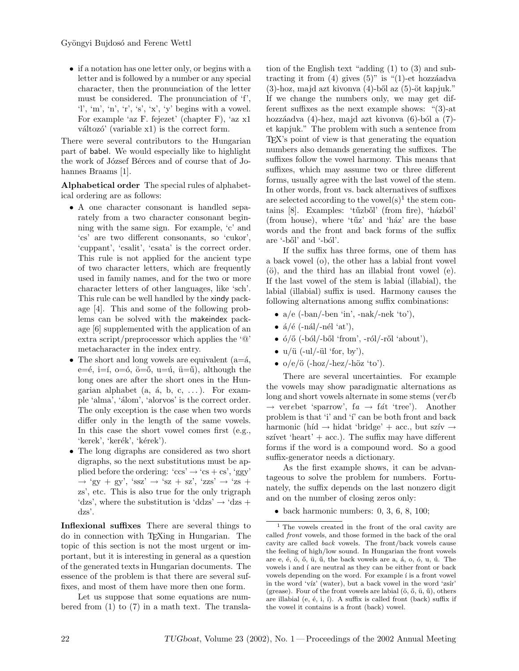• if a notation has one letter only, or begins with a letter and is followed by a number or any special character, then the pronunciation of the letter must be considered. The pronunciation of 'f', 'l', 'm', 'n', 'r', 's', 'x', 'y' begins with a vowel. For example 'az F. fejezet' (chapter F), 'az x1  $v$ áltozó' (variable x1) is the correct form.

There were several contributors to the Hungarian part of babel. We would especially like to highlight the work of József Bérces and of course that of Johannes Braams [1].

Alphabetical order The special rules of alphabetical ordering are as follows:

- A one character consonant is handled separately from a two character consonant beginning with the same sign. For example, 'c' and 'cs' are two different consonants, so 'cukor', 'cuppant', 'csalit', 'csata' is the correct order. This rule is not applied for the ancient type of two character letters, which are frequently used in family names, and for the two or more character letters of other languages, like 'sch'. This rule can be well handled by the xindy package [4]. This and some of the following problems can be solved with the makeindex package [6] supplemented with the application of an extra script/preprocessor which applies the '@' metacharacter in the index entry.
- The short and long vowels are equivalent  $(a=4,$ e= $\acute{e}$ , i= $\acute{i}$ ,  $o=$  $\acute{o}$ ,  $\ddot{o}=$  $\ddot{o}$ ,  $u=$  $\acute{u}$ ,  $\ddot{u}=$  $\ddot{u}$ ), although the long ones are after the short ones in the Hungarian alphabet  $(a, \dot{a}, b, c, \ldots)$ . For example 'alma', 'álom', 'alorvos' is the correct order. The only exception is the case when two words differ only in the length of the same vowels. In this case the short vowel comes first (e.g., 'kerek', 'ker $\acute{\text{e}}$ k', 'k $\acute{\text{e}}$ rek').
- The long digraphs are considered as two short digraphs, so the next substitutions must be applied before the ordering: 'ccs'  $\rightarrow$  'cs + cs', 'ggy'  $\rightarrow$  'gy + gy', 'ssz'  $\rightarrow$  'sz + sz', 'zzs'  $\rightarrow$  'zs + zs', etc. This is also true for the only trigraph 'dzs', where the substitution is 'ddzs'  $\rightarrow$  'dzs + dzs'.

Inflexional suffixes There are several things to do in connection with TEXing in Hungarian. The topic of this section is not the most urgent or important, but it is interesting in general as a question of the generated texts in Hungarian documents. The essence of the problem is that there are several suffixes, and most of them have more then one form.

Let us suppose that some equations are numbered from (1) to (7) in a math text. The translation of the English text "adding (1) to (3) and subtracting it from  $(4)$  gives  $(5)$ " is " $(1)$ -et hozzáadva  $(3)$ -hoz, majd azt kivonva  $(4)$ -ből az  $(5)$ -öt kapjuk." If we change the numbers only, we may get different suffixes as the next example shows: "(3)-at hozzáadva (4)-hez, majd azt kivonva (6)-ból a (7)et kapjuk." The problem with such a sentence from TEX's point of view is that generating the equation numbers also demands generating the suffixes. The suffixes follow the vowel harmony. This means that suffixes, which may assume two or three different forms, usually agree with the last vowel of the stem. In other words, front vs. back alternatives of suffixes are selected according to the vowel $(s)^1$  the stem contains [8]. Examples: 'tűzből' (from fire), 'házból' (from house), where 'tuz' and 'haz' are the base words and the front and back forms of the suffix are '-ből' and '-ból'.

If the suffix has three forms, one of them has a back vowel (o), the other has a labial front vowel  $(ö)$ , and the third has an illabial front vowel  $(e)$ . If the last vowel of the stem is labial (illabial), the labial (illabial) suffix is used. Harmony causes the following alternations among suffix combinations:

- $a/e$  (-ban/-ben 'in', -nak/-nek 'to'),
- $a/\acute{e}$  (-nál/-nél 'at'),
- $\acute{o}/\mathrm{O}$  (-ból/-ből 'from', -ról/-ről 'about'),
- $u/\ddot{u}$  (-ul/- $\ddot{u}$  'for, by'),
- $o/e/\ddot{o}$  (-hoz/-hez/-höz 'to').

There are several uncertainties. For example the vowels may show paradigmatic alternations as long and short vowels alternate in some stems (ver $\acute{e}b$  $\rightarrow$  verebet 'sparrow', fa  $\rightarrow$  fát 'tree'). Another problem is that 'i' and 'i' can be both front and back harmonic (híd  $\rightarrow$  hidat 'bridge' + acc., but szív  $\rightarrow$ szívet 'heart' +  $acc.$ ). The suffix may have different forms if the word is a compound word. So a good suffix-generator needs a dictionary.

As the first example shows, it can be advantageous to solve the problem for numbers. Fortunately, the suffix depends on the last nonzero digit and on the number of closing zeros only:

 $\bullet$  back harmonic numbers: 0, 3, 6, 8, 100;

<sup>1</sup> The vowels created in the front of the oral cavity are called front vowels, and those formed in the back of the oral cavity are called back vowels. The front/back vowels cause the feeling of high/low sound. In Hungarian the front vowels are  $e, \dot{e}, \ddot{o}, \ddot{o}, \ddot{u}, \ddot{u},$  the back vowels are  $a, \dot{a}, o, \dot{o}, u, \dot{u}.$  The vowels i and í are neutral as they can be either front or back vowels depending on the word. For example *i* is a front vowel in the word 'víz' (water), but a back vowel in the word 'zsír' (grease). Four of the front vowels are labial  $(\ddot{o}, \ddot{o}, \ddot{u}, \ddot{u})$ , others are illabial (e,  $\acute{e}$ , i,  $\acute{i}$ ). A suffix is called front (back) suffix if the vowel it contains is a front (back) vowel.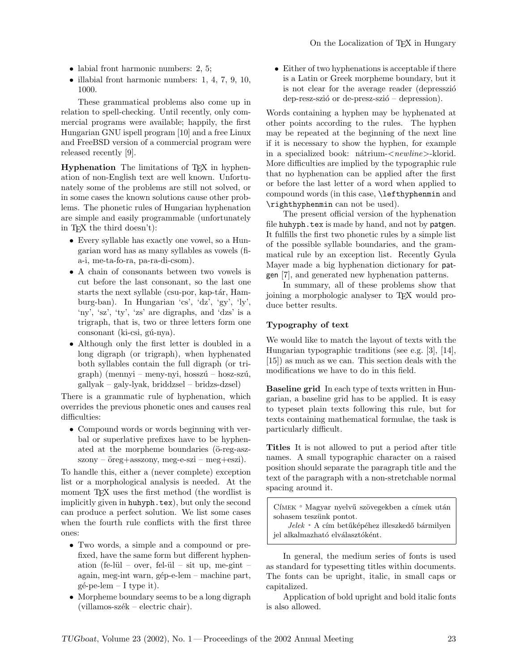- labial front harmonic numbers: 2, 5;
- illabial front harmonic numbers: 1, 4, 7, 9, 10, 1000.

These grammatical problems also come up in relation to spell-checking. Until recently, only commercial programs were available; happily, the first Hungarian GNU ispell program [10] and a free Linux and FreeBSD version of a commercial program were released recently [9].

Hyphenation The limitations of T<sub>F</sub>X in hyphenation of non-English text are well known. Unfortunately some of the problems are still not solved, or in some cases the known solutions cause other problems. The phonetic rules of Hungarian hyphenation are simple and easily programmable (unfortunately in TEX the third doesn't):

- Every syllable has exactly one vowel, so a Hungarian word has as many syllables as vowels (fia-i, me-ta-fo-ra, pa-ra-di-csom).
- A chain of consonants between two vowels is cut before the last consonant, so the last one starts the next syllable (csu-por, kap-tár, Hamburg-ban). In Hungarian 'cs', 'dz', 'gy', 'ly', 'ny', 'sz', 'ty', 'zs' are digraphs, and 'dzs' is a trigraph, that is, two or three letters form one consonant (ki-csi, gú-nya).
- Although only the first letter is doubled in a long digraph (or trigraph), when hyphenated both syllables contain the full digraph (or tri $graph)$  (mennyi – meny-nyi, hosszú – hosz-szú, gallyak – galy-lyak, briddzsel – bridzs-dzsel)

There is a grammatic rule of hyphenation, which overrides the previous phonetic ones and causes real difficulties:

• Compound words or words beginning with verbal or superlative prefixes have to be hyphenated at the morpheme boundaries ( $\ddot{\text{o}}$ -reg-asz $szony - \text{öreg} + \text{asszony}, \text{meg-e-szi} - \text{meg+eszi}.$ 

To handle this, either a (never complete) exception list or a morphological analysis is needed. At the moment T<sub>F</sub>X uses the first method (the wordlist is implicitly given in huhyph.tex), but only the second can produce a perfect solution. We list some cases when the fourth rule conflicts with the first three ones:

- Two words, a simple and a compound or prefixed, have the same form but different hyphenation (fe-lül – over, fel-ül – sit up, me-gint – again, meg-int warn, gép-e-lem – machine part,  $g\acute{e}$ -pe-lem – I type it).
- Morpheme boundary seems to be a long digraph  $(villamos-szék - electric chair).$

• Either of two hyphenations is acceptable if there is a Latin or Greek morpheme boundary, but it is not clear for the average reader (depresszió  $dep$ -resz-szió or  $de$ -presz-szió – depression).

Words containing a hyphen may be hyphenated at other points according to the rules. The hyphen may be repeated at the beginning of the next line if it is necessary to show the hyphen, for example in a specialized book: nátrium- $\langle \textit{newline} \rangle$ -klorid. More difficulties are implied by the typographic rule that no hyphenation can be applied after the first or before the last letter of a word when applied to compound words (in this case, \lefthyphenmin and \righthyphenmin can not be used).

The present official version of the hyphenation file huhyph.tex is made by hand, and not by patgen. It fulfills the first two phonetic rules by a simple list of the possible syllable boundaries, and the grammatical rule by an exception list. Recently Gyula Mayer made a big hyphenation dictionary for patgen [7], and generated new hyphenation patterns.

In summary, all of these problems show that joining a morphologic analyser to T<sub>F</sub>X would produce better results.

# Typography of text

We would like to match the layout of texts with the Hungarian typographic traditions (see e.g. [3], [14], [15]) as much as we can. This section deals with the modifications we have to do in this field.

Baseline grid In each type of texts written in Hungarian, a baseline grid has to be applied. It is easy to typeset plain texts following this rule, but for texts containing mathematical formulae, the task is particularly difficult.

Titles It is not allowed to put a period after title names. A small typographic character on a raised position should separate the paragraph title and the text of the paragraph with a non-stretchable normal spacing around it.

Címek ∘ Magyar nyelvű szövegekben a címek után sohasem teszünk pontot.

 $Jelek$  ∗ A cím betűképéhez illeszkedő bármilyen jel alkalmazható elválasztóként.

In general, the medium series of fonts is used as standard for typesetting titles within documents. The fonts can be upright, italic, in small caps or capitalized.

Application of bold upright and bold italic fonts is also allowed.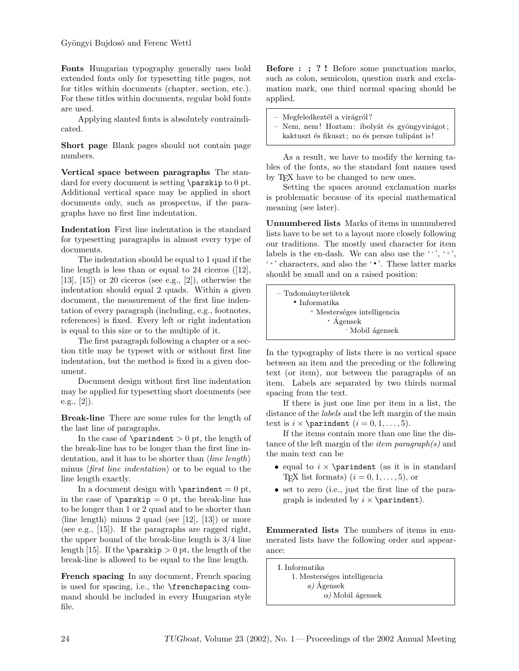Fonts Hungarian typography generally uses bold extended fonts only for typesetting title pages, not for titles within documents (chapter, section, etc.). For these titles within documents, regular bold fonts are used.

Applying slanted fonts is absolutely contraindicated.

Short page Blank pages should not contain page numbers.

Vertical space between paragraphs The standard for every document is setting \parskip to 0 pt. Additional vertical space may be applied in short documents only, such as prospectus, if the paragraphs have no first line indentation.

Indentation First line indentation is the standard for typesetting paragraphs in almost every type of documents.

The indentation should be equal to 1 quad if the line length is less than or equal to 24 ciceros ([12],  $[13]$ ,  $[15]$  or 20 ciceros (see e.g.,  $[2]$ ), otherwise the indentation should equal 2 quads. Within a given document, the measurement of the first line indentation of every paragraph (including, e.g., footnotes, references) is fixed. Every left or right indentation is equal to this size or to the multiple of it.

The first paragraph following a chapter or a section title may be typeset with or without first line indentation, but the method is fixed in a given document.

Document design without first line indentation may be applied for typesetting short documents (see e.g.,  $[2]$ ).

Break-line There are some rules for the length of the last line of paragraphs.

In the case of  $\partial > 0$  pt, the length of the break-line has to be longer than the first line indentation, and it has to be shorter than  $\langle line \; length \rangle$ minus (first line indentation) or to be equal to the line length exactly.

In a document design with  $\partial = 0$  pt, in the case of  $\parbox{1}{\text{p}} = 0$  pt, the break-line has to be longer than 1 or 2 quad and to be shorter than  $\langle$ line length $\rangle$  minus 2 quad (see [12], [13]) or more (see e.g., [15]). If the paragraphs are ragged right, the upper bound of the break-line length is 3/4 line length [15]. If the **\parskip**  $> 0$  pt, the length of the break-line is allowed to be equal to the line length.

French spacing In any document, French spacing is used for spacing, i.e., the \frenchspacing command should be included in every Hungarian style file.

Before : ; ? ! Before some punctuation marks, such as colon, semicolon, question mark and exclamation mark, one third normal spacing should be applied.

- Megfeledkeztél a virágról?
- Nem, nem! Hoztam: ibolyát és gyöngyvirágot;
- kaktuszt és fikuszt; no és persze tulipánt is!

As a result, we have to modify the kerning tables of the fonts, so the standard font names used by T<sub>E</sub>X have to be changed to new ones.

Setting the spaces around exclamation marks is problematic because of its special mathematical meaning (see later).

Unnumbered lists Marks of items in unnumbered lists have to be set to a layout more closely following our traditions. The mostly used character for item labels is the en-dash. We can also use the  $\cdot\cdot\cdot, \cdot\cdot\cdot$ , ' ∗ ' characters, and also the ' • '. These latter marks should be small and on a raised position:

In the typography of lists there is no vertical space between an item and the preceding or the following text (or item), nor between the paragraphs of an item. Labels are separated by two thirds normal spacing from the text.

If there is just one line per item in a list, the distance of the *labels* and the left margin of the main text is  $i \times \partial$  indent  $(i = 0, 1, ..., 5)$ .

If the items contain more than one line the distance of the left margin of the *item paragraph(s)* and the main text can be

- equal to  $i \times \partial$  in standard T<sub>E</sub>X list formats)  $(i = 0, 1, \ldots, 5)$ , or
- set to zero (i.e., just the first line of the paragraph is indented by  $i \times \partial$ .

Enumerated lists The numbers of items in enumerated lists have the following order and appearance:

I. Informatika 1. Mesterséges intelligencia a)  $\acute{A}$ gensek  $\alpha$ ) Mobil ágensek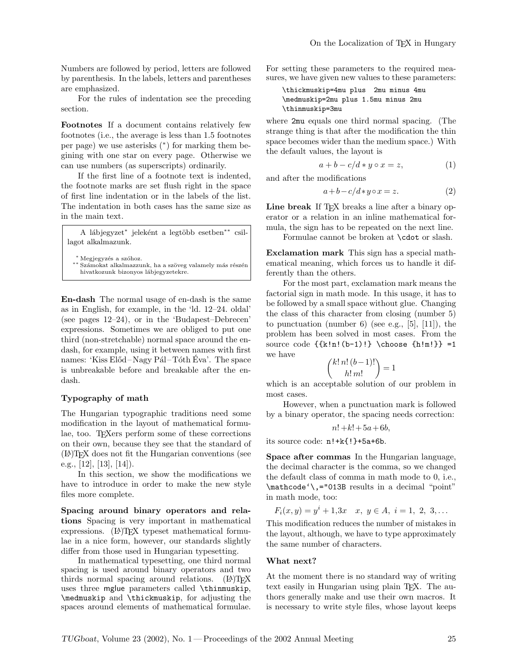Numbers are followed by period, letters are followed by parenthesis. In the labels, letters and parentheses are emphasized.

For the rules of indentation see the preceding section.

Footnotes If a document contains relatively few footnotes (i.e., the average is less than 1.5 footnotes per page) we use asterisks (<sup>∗</sup> ) for marking them begining with one star on every page. Otherwise we can use numbers (as superscripts) ordinarily.

If the first line of a footnote text is indented, the footnote marks are set flush right in the space of first line indentation or in the labels of the list. The indentation in both cases has the same size as in the main text.

A lábjegyzet<sup>∗</sup> jeleként a legtöbb esetben<sup>∗</sup>\* csillagot alkalmazunk.

 $*$  Megjegyzés a szóhoz.

∗∗ Számokat alkalmazzunk, ha a szöveg valamely más részén hivatkozunk bizonyos lábjegyzetekre.

En-dash The normal usage of en-dash is the same as in English, for example, in the 'ld. 12–24. oldal' (see pages 12–24), or in the 'Budapest–Debrecen' expressions. Sometimes we are obliged to put one third (non-stretchable) normal space around the endash, for example, using it between names with first names: 'Kiss Előd-Nagy Pál-Tóth Eva'. The space is unbreakable before and breakable after the endash.

# Typography of math

The Hungarian typographic traditions need some modification in the layout of mathematical formulae, too. TEXers perform some of these corrections on their own, because they see that the standard of (LA)TEX does not fit the Hungarian conventions (see e.g., [12], [13], [14]).

In this section, we show the modifications we have to introduce in order to make the new style files more complete.

Spacing around binary operators and relations Spacing is very important in mathematical expressions.  $(E)$ TEX typeset mathematical formulae in a nice form, however, our standards slightly differ from those used in Hungarian typesetting.

In mathematical typesetting, one third normal spacing is used around binary operators and two thirds normal spacing around relations.  $(\Delta)$ T<sub>F</sub>X uses three mglue parameters called \thinmuskip, \medmuskip and \thickmuskip, for adjusting the spaces around elements of mathematical formulae.

For setting these parameters to the required measures, we have given new values to these parameters:

\thickmuskip=4mu plus 2mu minus 4mu \medmuskip=2mu plus 1.5mu minus 2mu \thinmuskip=3mu

where 2mu equals one third normal spacing. (The strange thing is that after the modification the thin space becomes wider than the medium space.) With the default values, the layout is

$$
a + b - c/d * y \circ x = z,\tag{1}
$$

and after the modifications

$$
a+b-c/d*y\circ x=z.\t(2)
$$

Line break If TFX breaks a line after a binary operator or a relation in an inline mathematical formula, the sign has to be repeated on the next line.

Formulae cannot be broken at \cdot or slash.

Exclamation mark This sign has a special mathematical meaning, which forces us to handle it differently than the others.

For the most part, exclamation mark means the factorial sign in math mode. In this usage, it has to be followed by a small space without glue. Changing the class of this character from closing (number 5) to punctuation (number 6) (see e.g., [5], [11]), the problem has been solved in most cases. From the source code {{k!n!(b-1)!} \choose {h!m!}} =1 we have

$$
\binom{k!\,n!\,(b-1)!}{h!\,m!}=1
$$

which is an acceptable solution of our problem in most cases.

However, when a punctuation mark is followed by a binary operator, the spacing needs correction:

$$
n! + k! + 5a + 6b,
$$

its source code: n!+k{!}+5a+6b.

Space after commas In the Hungarian language, the decimal character is the comma, so we changed the default class of comma in math mode to 0, i.e., \mathcode'\,="013B results in a decimal "point" in math mode, too:

$$
F_i(x, y) = y^i + 1, 3x \quad x, y \in A, i = 1, 2, 3, ...
$$

This modification reduces the number of mistakes in the layout, although, we have to type approximately the same number of characters.

# What next?

At the moment there is no standard way of writing text easily in Hungarian using plain TEX. The authors generally make and use their own macros. It is necessary to write style files, whose layout keeps